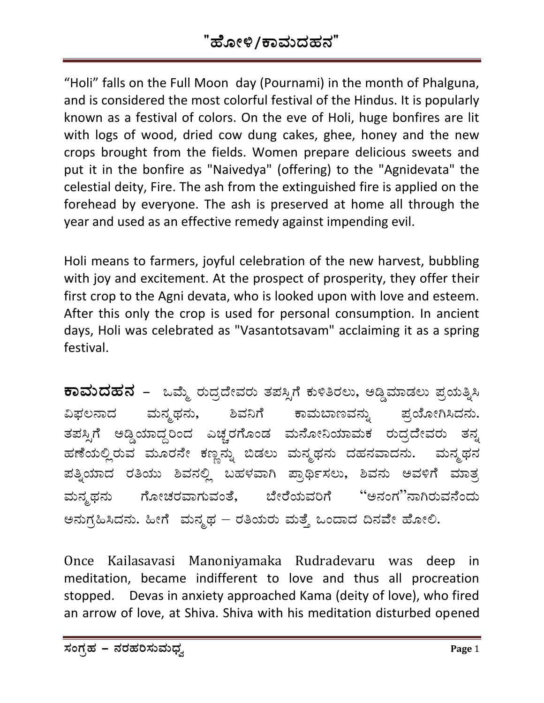## "ಹೋಳಿ/ಕಾಮದಹನ"

"Holi" falls on the Full Moon day (Pournami) in the month of Phalguna, and is considered the most colorful festival of the Hindus. It is popularly known as a festival of colors. On the eve of Holi, huge bonfires are lit with logs of wood, dried cow dung cakes, ghee, honey and the new crops brought from the fields. Women prepare delicious sweets and put it in the bonfire as "Naivedya" (offering) to the "Agnidevata" the celestial deity, Fire. The ash from the extinguished fire is applied on the forehead by everyone. The ash is preserved at home all through the year and used as an effective remedy against impending evil.

Holi means to farmers, joyful celebration of the new harvest, bubbling with joy and excitement. At the prospect of prosperity, they offer their first crop to the Agni devata, who is looked upon with love and esteem. After this only the crop is used for personal consumption. In ancient days, Holi was celebrated as "Vasantotsavam" acclaiming it as a spring festival.

**ಕಾಮದಹನ** – ಒಮ್ಮೆ ರುದ್ರದೇವರು ತಪಸ್ಸಿಗೆ ಕುಳಿತಿರಲು, ಅಡ್ಡಿಮಾಡಲು ಪ್ರಯತ್ನಿಸಿ ವಿಫಲನಾದ ಮನ್ಮಥನು, ಶಿವನಿಗೆ ಕಾಮಬಾಣವನ್ನು ಪ್ರಯೋಗಿಸಿದನು. ತಪಸ್ಸಿಗೆ ಅಡ್ಡಿಯಾದ್ದರಿಂದ ಎಚ್ಚರಗೊಂಡ ಮನೋನಿಯಾಮಕ ರುದ್ರದೇವರು ತನ್ನ ಹಣೆಯಲ್ಲಿರುವ ಮೂರನೇ ಕಣ್ಣನ್ನು ಬಿಡಲು ಮನ್ಮಥನು ದಹನವಾದನು. ಮನ್ಮಥನ ಪತ್ನಿಯಾದ ರತಿಯು ಶಿವನಲ್ಲಿ ಬಹಳವಾಗಿ ಪ್ರಾರ್ಥಿಸಲು, ಶಿವನು ಅವಳಿಗೆ ಮಾತ್ರ ಮನ್ಮಥನು ಗೋಚರವಾಗುವಂತೆ, ಬೇರೆಯವರಿಗೆ ''ಅನಂಗ''ನಾಗಿರುವನೆಂದು ಅನುಗ್ರಹಿಸಿದನು. ಹೀಗೆ ಮನ್ಮಥ – ರತಿಯರು ಮತ್ತೆ ಒಂದಾದ ದಿನವೇ ಹೋಲಿ.

Once Kailasavasi Manoniyamaka Rudradevaru was deep in meditation, became indifferent to love and thus all procreation stopped. Devas in anxiety approached Kama (deity of love), who fired an arrow of love, at Shiva. Shiva with his meditation disturbed opened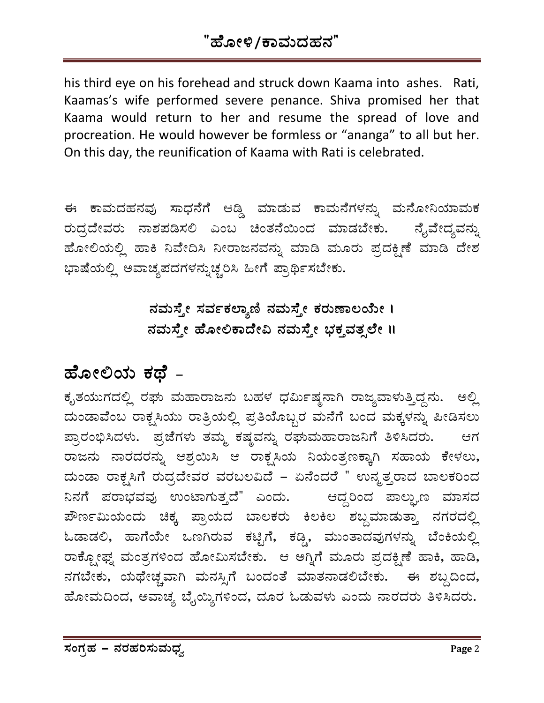### "ಹೋಳಿ/ಕಾಮದಹನ"

his third eye on his forehead and struck down Kaama into ashes. Rati, Kaamas's wife performed severe penance. Shiva promised her that Kaama would return to her and resume the spread of love and procreation. He would however be formless or "ananga" to all but her. On this day, the reunification of Kaama with Rati is celebrated.

ಈ ಕಾಮದಹನವು ಸಾಧನೆಗೆ ಆಡ್ಡಿ ಮಾಡುವ ಕಾಮನೆಗಳನ್ನು ಮನೋನಿಯಾಮಕ ರುದ್ರದೇವರು ನಾಶಪಡಿಸಲಿ ಎಂಬ ಚಿಂತನೆಯಿಂದ ಮಾಡಬೇಕು. ನೈವೇದ್ಯವನ್ನು ಹೋಲಿಯಲ್ಲಿ ಹಾಕಿ ನಿವೇದಿಸಿ ನೀರಾಜನವನ್ನು ಮಾಡಿ ಮೂರು ಪ್ರದಕ್ಷಿಣೆ ಮಾಡಿ ದೇಶ ಭಾಷೆಯಲ್ಲಿ ಅವಾಚ್ಯಪದಗಳನ್ನುಚ್ಚರಿಸಿ ಹೀಗೆ ಪ್ರಾರ್ಥಿಸಬೇಕು.

> $\vec{A}$ ಮಸ್ತೇ ಸರ್ವಕಲ್ಯಾಣಿ ನಮಸ್ತೇ ಕರುಣಾಲಯೇ ।  $\vec{r}$ ಸಮಸ್ಯೇ ಹೋಲಿಕಾದೇವಿ ನಮಸ್ತೇ ಭಕ್ತವತ್ಸಲೇ ॥

# ಹೋಲಿಯ ಕಥೆ <sub>–</sub>

ಕೃತಯುಗದಲ್ಲಿ ರಘು ಮಹಾರಾಜನು ಬಹಳ ಧರ್ಮಿಷ್ಣನಾಗಿ ರಾಜ್ಯವಾಳುತ್ತಿದ್ದನು. ಅಲ್ಲಿ ಮಂಡಾವೆಂಬ ರಾಕ್ಷಸಿಯು ರಾತ್ರಿಯಲ್ಲಿ ಪ್ರತಿಯೊಬ್ಬರ ಮನೆಗೆ ಬಂದ ಮಕ್ಕಳನ್ನು ಪೀಡಿಸಲು ಪ್ರಾರಂಭಿಸಿದಳು. ಪ್ರಜೆಗಳು ತಮ್ಮ ಕಷ್ಣವನ್ನು ರಘುಮಹಾರಾಜನಿಗೆ ತಿಳಿಸಿದರು. ಆಗ ರಾಜನು ನಾರದರನ್ನು ಆಶ್ರಯಿಸಿ ಆ ರಾಕ್ಷಸಿಯ ನಿಯಂತ್ರಣಕ್ಕಾಗಿ ಸಹಾಯ ಕೇಳಲು, ಮಂಡಾ ರಾಕ್ಷಸಿಗೆ ರುದ್ರದೇವರ ವರಬಲವಿದೆ – ಏನೆಂದರೆ " ಉನ್ಮತ್ತರಾದ ಬಾಲಕರಿಂದ <mark>ನಿನಗೆ ಪರಾಭವವು ಉಂಟಾಗುತ್ತದೆ" ಎಂದು.</mark> ಆದ್ದರಿಂದ ಪಾಲ್ಘುಣ ಮಾಸದ  $\vec{x}$ ರ್ಣಾಮಿಯಂದು ಚಿಕ್ಕ ಪ್ರಾಯದ ಬಾಲಕರು ಕಿಲಕಿಲ ಶಬ್ದಮಾಡುತ್ತಾ ನಗರದಲ್ಲಿ ಓಡಾಡಲಿ, ಹಾಗೆಯೇ ಒಣಗಿರುವ ಕಟ್ಟಿಗೆ, ಕಡ್ಡಿ, ಮುಂತಾದವುಗಳನ್ನು ಬೆಂಕಿಯಲ್ಲಿ ರಾಕ್ಪೋಫ್ನ್ ಮಂತ್ರಗಳಿಂದ ಹೋಮಿಸಬೇಕು. ಆ ಅಗ್ನಿಗೆ ಮೂರು ಪ್ರದಕ್ಷಿಣೆ ಹಾಕಿ, ಹಾಡಿ, ವಗಬೇಕು, ಯಥೇಚ್ಚವಾಗಿ ಮನಸ್ಸಿಗೆ ಬಂದಂತೆ ಮಾತನಾಡಲಿಬೇಕು. ಈ ಶಬ್ದದಿಂದ, ಹೋಮದಿಂದ, ಅವಾಚ್ಯ ಬೈಯ್ಯಿಗಳಿಂದ, ದೂರ ಓಡುವಳು ಎಂದು ನಾರದರು ತಿಳಿಸಿದರು.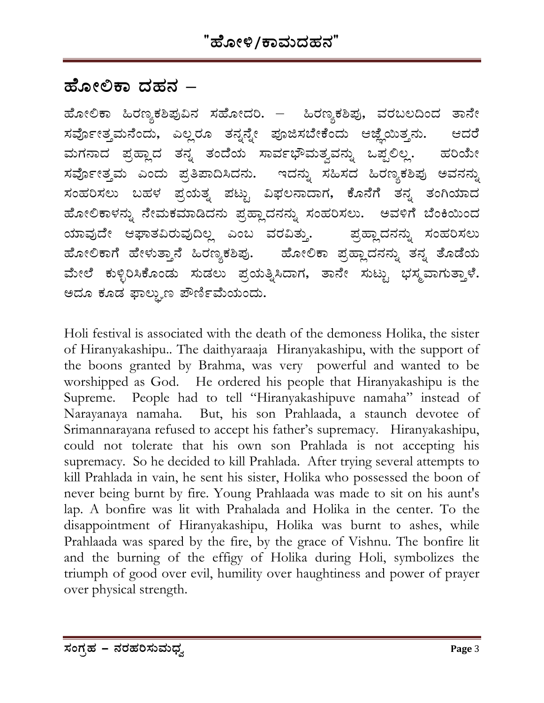### ಹೋಲಿಕಾ ದಹನ –

ಹೋಲಿಕಾ ಹಿರಣ್ಯಕಶಿಪುವಿನ ಸಹೋದರಿ. – ಹಿರಣ್ಯಕಶಿಪು, ವರಬಲದಿಂದ ತಾನೇ ಸರ್ವೋತ್ತಮನೆಂದು, ಎಲ್ಲರೂ ತನ್ನನ್ನೇ ಪೂಜಿಸಬೇಕೆಂದು ಆಜ್ಞೆಯಿತ್ತನು. ಆದರೆ ಮಗನಾದ ಪ್ರಹ್ಲಾದ ತನ್ನ ತಂದೆಯ ಸಾರ್ವಭೌಮತ್ವವನ್ನು ಒಪ್ಪಲಿಲ್ಲ. ಹರಿಯೇ ಸರ್ವೋತ್ತಮ ಎಂದು ಪ್ರತಿಪಾದಿಸಿದನು. ಇದನ್ನು ಸಹಿಸದ ಹಿರಣ್ಯಕಶಿಪು ಅವನನ್ನು ಸಂಹರಿಸಲು ಬಹಳ ಪ್ರಯತ್ನ ಪಟ್ಟು ವಿಫಲನಾದಾಗ, ಕೊನೆಗೆ ತನ್ನ ತಂಗಿಯಾದ ಹೋಲಿಕಾಳನ್ನು ನೇಮಕಮಾಡಿದನು ಪ್ರಹ್ಲಾದನನ್ನು ಸಂಹರಿಸಲು. ಅವಳಿಗೆ ಬೆಂಕಿಯಿಂದ ಪ್ರಹ್ಲಾದನನ್ನು ಸಂಹರಿಸಲು ಯಾವುದೇ ಆಘಾತವಿರುವುದಿಲ್ಲ ಎಂಬ ವರವಿತ್ತು. ಹೋಲಿಕಾಗೆ ಹೇಳುತ್ತಾನೆ ಹಿರಣ್ಯಕಶಿಪು. ಹೋಲಿಕಾ ಪ್ರಹ್ಲಾದನನ್ನು ತನ್ನ ತೊಡೆಯ ಮೇಲೆ ಕುಳ್ಳಿರಿಸಿಕೊಂಡು ಸುಡಲು ಪ್ರಯತ್ನಿಸಿದಾಗ, ತಾನೇ ಸುಟ್ಟು ಭಸ್ಮವಾಗುತ್ತಾಳೆ. ಅದೂ ಕೂಡ ಫಾಲ್ಬುಣ ಪೌರ್ಣಿಮೆಯಂದು.

Holi festival is associated with the death of the demoness Holika, the sister of Hiranyakashipu.. The daithyaraaja Hiranyakashipu, with the support of the boons granted by Brahma, was very powerful and wanted to be worshipped as God. He ordered his people that Hiranyakashipu is the Supreme. People had to tell "Hiranyakashipuve namaha" instead of Narayanaya namaha. But, his son Prahlaada, a staunch devotee of Srimannarayana refused to accept his father's supremacy. Hiranyakashipu, could not tolerate that his own son Prahlada is not accepting his supremacy. So he decided to kill Prahlada. After trying several attempts to kill Prahlada in vain, he sent his sister, Holika who possessed the boon of never being burnt by fire. Young Prahlaada was made to sit on his aunt's lap. A bonfire was lit with Prahalada and Holika in the center. To the disappointment of Hiranyakashipu, Holika was burnt to ashes, while Prahlaada was spared by the fire, by the grace of Vishnu. The bonfire lit and the burning of the effigy of Holika during Holi, symbolizes the triumph of good over evil, humility over haughtiness and power of prayer over physical strength.